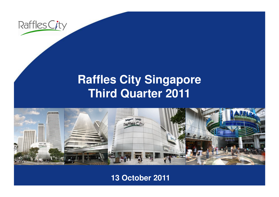

### **Raffles City SingaporeThird Quarter 2011**



### **13 October 2011**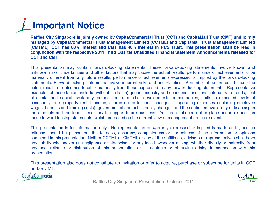## **Important Notice**

Raffles City Singapore is jointly owned by CapitaCommercial Trust (CCT) and CapitaMall Trust (CMT) and jointly managed by CapitaCommercial Trust Management Limited (CCTML) and CapitaMall Trust Management Limited (CMTML). CCT has 60% interest and CMT has 40% interest in RCS Trust. This presentation shall be read in conjunction with the respective 2011 Third Quarter Unaudited Financial Statement Announcements released for **CCT and CMT.**

This presentation may contain forward-looking statements. These forward-looking statements involve known and unknown risks, uncertainties and other factors that may cause the actual results, performance or achievements to be materially different from any future results, performance or achievements expressed or implied by the forward-looking statements. Forward-looking statements involve inherent risks and uncertainties. A number of factors could cause the actual results or outcomes to differ materially from those expressed in any forward-looking statement. Representative examples of these factors include (without limitation) general industry and economic conditions, interest rate trends, cost of capital and capital availability, competition from other developments or companies, shifts in expected levels of<br>conveniency rate preparty raptal income, charge out collections, changes in energting expenses (including occupancy rate, property rental income, charge out collections, changes in operating expenses (including employee wages, benefits and training costs), governmental and public policy changes and the continued availability of financing in the amounts and the terms necessary to support future business. You are cautioned not to place undue reliance onthese forward-looking statements, which are based on the current view of management on future events.

This presentation is for information only. No representation or warranty expressed or implied is made as to, and no reliance should be placed on, the fairness, accuracy, completeness or correctness of the information or opinions contained in this presentation. Neither CCTML or CMTML or any of their affiliates, advisers or representatives shall have any liability whatsoever (in negligence or otherwise) for any loss howsoever arising, whether directly or indirectly, from any use, reliance or distribution of this presentation or its contents or otherwise arising in connection with thispresentation.

This presentation also does not constitute an invitation or offer to acquire, purchase or subscribe for units in CCTand/or CMT.

Cap/taCommercial

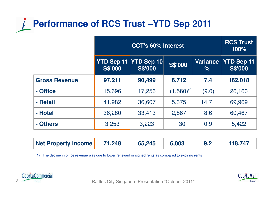### **Performance of RCS Trust –YTD Sep 2011**

|                      | <b>CCT's 60% Interest</b> |                                         |                 |                  | <b>RCS Trust</b><br>100%            |
|----------------------|---------------------------|-----------------------------------------|-----------------|------------------|-------------------------------------|
|                      | <b>S\$'000</b>            | YTD Sep 11 YTD Sep 10<br><b>S\$'000</b> | <b>S\$'000</b>  | Variance<br>$\%$ | <b>YTD Sep 11</b><br><b>S\$'000</b> |
| <b>Gross Revenue</b> | 97,211                    | 90,499                                  | 6,712           | 7.4              | 162,018                             |
| - Office             | 15,696                    | 17,256                                  | $(1,560)^{(1)}$ | (9.0)            | 26,160                              |
| - Retail             | 41,982                    | 36,607                                  | 5,375           | 14.7             | 69,969                              |
| - Hotel              | 36,280                    | 33,413                                  | 2,867           | 8.6              | 60,467                              |
| - Others             | 3,253                     | 3,223                                   | 30              | 0.9              | 5,422                               |

| Net Property Income | 71,248 | 65,245 | 6,003 | 118,747 |
|---------------------|--------|--------|-------|---------|
|                     |        |        |       |         |

(1) The decline in office revenue was due to lower renewed or signed rents as compared to expiring rents





Raffles City Singapore Presentation \*October 2010\* Raffles City Singapore Presentation \*October 2011\*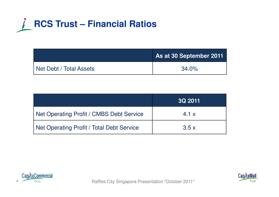

|                         | As at 30 September 2011 |
|-------------------------|-------------------------|
| Net Debt / Total Assets | $34.0\%$                |

|                                           | <b>3Q 2011</b> |
|-------------------------------------------|----------------|
| Net Operating Profit / CMBS Debt Service  | 4.1 x          |
| Net Operating Profit / Total Debt Service | 3.5x           |



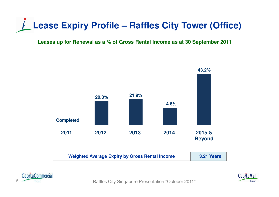

#### **Leases up for Renewal as a % of Gross Rental Income as at 30 September 2011**







Raffles City Singapore Presentation \*October 2011\*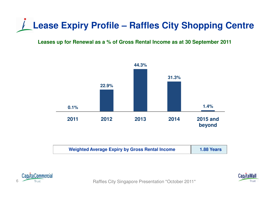## **Lease Expiry Profile – Raffles City Shopping Centre**

#### **Leases up for Renewal as a % of Gross Rental Income as at 30 September 2011**



| <b>Weighted Average Expiry by Gross Rental Income</b> | <b>1.88 Years</b> |
|-------------------------------------------------------|-------------------|
|-------------------------------------------------------|-------------------|